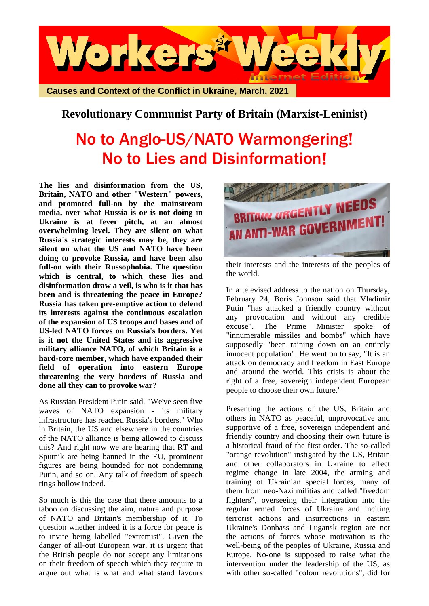

## **Revolutionary Communist Party of Britain (Marxist-Leninist)**

## No to Anglo-US/NATO Warmongering! No to Lies and Disinformation!

**The lies and disinformation from the US, Britain, NATO and other "Western" powers, and promoted full-on by the mainstream media, over what Russia is or is not doing in Ukraine is at fever pitch, at an almost overwhelming level. They are silent on what Russia's strategic interests may be, they are silent on what the US and NATO have been doing to provoke Russia, and have been also full-on with their Russophobia. The question which is central, to which these lies and disinformation draw a veil, is who is it that has been and is threatening the peace in Europe? Russia has taken pre-emptive action to defend its interests against the continuous escalation of the expansion of US troops and bases and of US-led NATO forces on Russia's borders. Yet is it not the United States and its aggressive military alliance NATO, of which Britain is a hard-core member, which have expanded their field of operation into eastern Europe threatening the very borders of Russia and done all they can to provoke war?**

As Russian President Putin said, "We've seen five waves of NATO expansion - its military infrastructure has reached Russia's borders." Who in Britain, the US and elsewhere in the countries of the NATO alliance is being allowed to discuss this? And right now we are hearing that RT and Sputnik are being banned in the EU, prominent figures are being hounded for not condemning Putin, and so on. Any talk of freedom of speech rings hollow indeed.

So much is this the case that there amounts to a taboo on discussing the aim, nature and purpose of NATO and Britain's membership of it. To question whether indeed it is a force for peace is to invite being labelled "extremist". Given the danger of all-out European war, it is urgent that the British people do not accept any limitations on their freedom of speech which they require to argue out what is what and what stand favours



their interests and the interests of the peoples of the world.

In a televised address to the nation on Thursday, February 24, Boris Johnson said that Vladimir Putin "has attacked a friendly country without any provocation and without any credible excuse". The Prime Minister spoke of "innumerable missiles and bombs" which have supposedly "been raining down on an entirely innocent population". He went on to say, "It is an attack on democracy and freedom in East Europe and around the world. This crisis is about the right of a free, sovereign independent European people to choose their own future."

Presenting the actions of the US, Britain and others in NATO as peaceful, unprovocative and supportive of a free, sovereign independent and friendly country and choosing their own future is a historical fraud of the first order. The so-called "orange revolution" instigated by the US, Britain and other collaborators in Ukraine to effect regime change in late 2004, the arming and training of Ukrainian special forces, many of them from neo-Nazi militias and called "freedom fighters", overseeing their integration into the regular armed forces of Ukraine and inciting terrorist actions and insurrections in eastern Ukraine's Donbass and Lugansk region are not the actions of forces whose motivation is the well-being of the peoples of Ukraine, Russia and Europe. No-one is supposed to raise what the intervention under the leadership of the US, as with other so-called "colour revolutions", did for